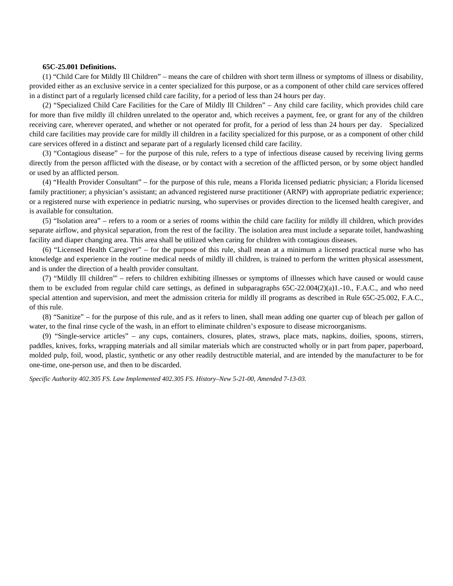## **65C-25.001 Definitions.**

(1) "Child Care for Mildly Ill Children" – means the care of children with short term illness or symptoms of illness or disability, provided either as an exclusive service in a center specialized for this purpose, or as a component of other child care services offered in a distinct part of a regularly licensed child care facility, for a period of less than 24 hours per day.

(2) "Specialized Child Care Facilities for the Care of Mildly Ill Children" – Any child care facility, which provides child care for more than five mildly ill children unrelated to the operator and, which receives a payment, fee, or grant for any of the children receiving care, wherever operated, and whether or not operated for profit, for a period of less than 24 hours per day. Specialized child care facilities may provide care for mildly ill children in a facility specialized for this purpose, or as a component of other child care services offered in a distinct and separate part of a regularly licensed child care facility.

(3) "Contagious disease" – for the purpose of this rule, refers to a type of infectious disease caused by receiving living germs directly from the person afflicted with the disease, or by contact with a secretion of the afflicted person, or by some object handled or used by an afflicted person.

(4) "Health Provider Consultant" – for the purpose of this rule, means a Florida licensed pediatric physician; a Florida licensed family practitioner; a physician's assistant; an advanced registered nurse practitioner (ARNP) with appropriate pediatric experience; or a registered nurse with experience in pediatric nursing, who supervises or provides direction to the licensed health caregiver, and is available for consultation.

(5) "Isolation area" – refers to a room or a series of rooms within the child care facility for mildly ill children, which provides separate airflow, and physical separation, from the rest of the facility. The isolation area must include a separate toilet, handwashing facility and diaper changing area. This area shall be utilized when caring for children with contagious diseases.

(6) "Licensed Health Caregiver" – for the purpose of this rule, shall mean at a minimum a licensed practical nurse who has knowledge and experience in the routine medical needs of mildly ill children, is trained to perform the written physical assessment, and is under the direction of a health provider consultant.

(7) "Mildly Ill children"' – refers to children exhibiting illnesses or symptoms of illnesses which have caused or would cause them to be excluded from regular child care settings, as defined in subparagraphs 65C-22.004(2)(a)1.-10., F.A.C., and who need special attention and supervision, and meet the admission criteria for mildly ill programs as described in Rule 65C-25.002, F.A.C., of this rule.

(8) "Sanitize" – for the purpose of this rule, and as it refers to linen, shall mean adding one quarter cup of bleach per gallon of water, to the final rinse cycle of the wash, in an effort to eliminate children's exposure to disease microorganisms.

(9) "Single-service articles" – any cups, containers, closures, plates, straws, place mats, napkins, doilies, spoons, stirrers, paddles, knives, forks, wrapping materials and all similar materials which are constructed wholly or in part from paper, paperboard, molded pulp, foil, wood, plastic, synthetic or any other readily destructible material, and are intended by the manufacturer to be for one-time, one-person use, and then to be discarded.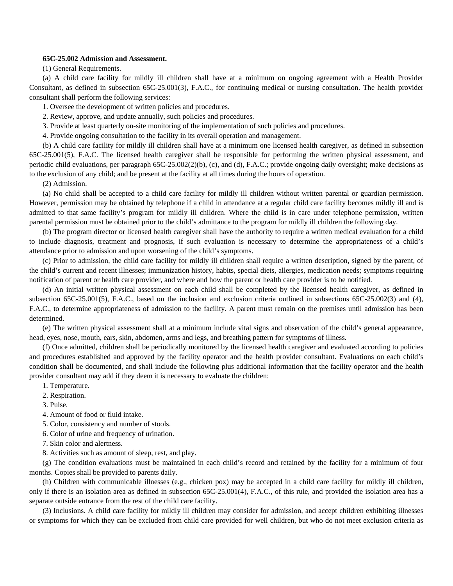### **65C-25.002 Admission and Assessment.**

(1) General Requirements.

(a) A child care facility for mildly ill children shall have at a minimum on ongoing agreement with a Health Provider Consultant, as defined in subsection 65C-25.001(3), F.A.C., for continuing medical or nursing consultation. The health provider consultant shall perform the following services:

1. Oversee the development of written policies and procedures.

2. Review, approve, and update annually, such policies and procedures.

3. Provide at least quarterly on-site monitoring of the implementation of such policies and procedures.

4. Provide ongoing consultation to the facility in its overall operation and management.

(b) A child care facility for mildly ill children shall have at a minimum one licensed health caregiver, as defined in subsection 65C-25.001(5), F.A.C. The licensed health caregiver shall be responsible for performing the written physical assessment, and periodic child evaluations, per paragraph 65C-25.002(2)(b), (c), and (d), F.A.C.; provide ongoing daily oversight; make decisions as to the exclusion of any child; and be present at the facility at all times during the hours of operation.

(2) Admission.

(a) No child shall be accepted to a child care facility for mildly ill children without written parental or guardian permission. However, permission may be obtained by telephone if a child in attendance at a regular child care facility becomes mildly ill and is admitted to that same facility's program for mildly ill children. Where the child is in care under telephone permission, written parental permission must be obtained prior to the child's admittance to the program for mildly ill children the following day.

(b) The program director or licensed health caregiver shall have the authority to require a written medical evaluation for a child to include diagnosis, treatment and prognosis, if such evaluation is necessary to determine the appropriateness of a child's attendance prior to admission and upon worsening of the child's symptoms.

(c) Prior to admission, the child care facility for mildly ill children shall require a written description, signed by the parent, of the child's current and recent illnesses; immunization history, habits, special diets, allergies, medication needs; symptoms requiring notification of parent or health care provider, and where and how the parent or health care provider is to be notified.

(d) An initial written physical assessment on each child shall be completed by the licensed health caregiver, as defined in subsection 65C-25.001(5), F.A.C., based on the inclusion and exclusion criteria outlined in subsections 65C-25.002(3) and (4), F.A.C., to determine appropriateness of admission to the facility. A parent must remain on the premises until admission has been determined.

(e) The written physical assessment shall at a minimum include vital signs and observation of the child's general appearance, head, eyes, nose, mouth, ears, skin, abdomen, arms and legs, and breathing pattern for symptoms of illness.

(f) Once admitted, children shall be periodically monitored by the licensed health caregiver and evaluated according to policies and procedures established and approved by the facility operator and the health provider consultant. Evaluations on each child's condition shall be documented, and shall include the following plus additional information that the facility operator and the health provider consultant may add if they deem it is necessary to evaluate the children:

1. Temperature.

- 2. Respiration.
- 3. Pulse.
- 4. Amount of food or fluid intake.

5. Color, consistency and number of stools.

6. Color of urine and frequency of urination.

7. Skin color and alertness.

8. Activities such as amount of sleep, rest, and play.

(g) The condition evaluations must be maintained in each child's record and retained by the facility for a minimum of four months. Copies shall be provided to parents daily.

(h) Children with communicable illnesses (e.g., chicken pox) may be accepted in a child care facility for mildly ill children, only if there is an isolation area as defined in subsection 65C-25.001(4), F.A.C., of this rule, and provided the isolation area has a separate outside entrance from the rest of the child care facility.

(3) Inclusions. A child care facility for mildly ill children may consider for admission, and accept children exhibiting illnesses or symptoms for which they can be excluded from child care provided for well children, but who do not meet exclusion criteria as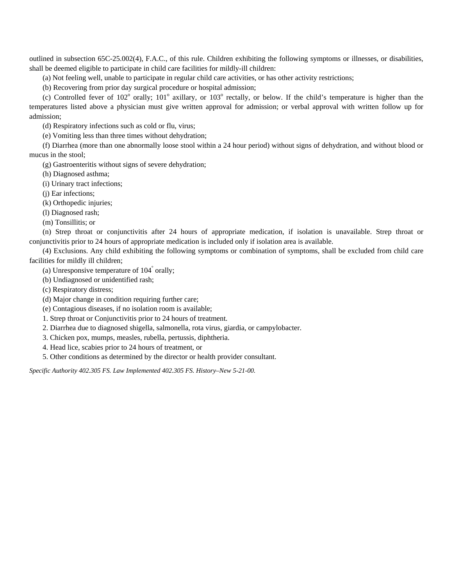outlined in subsection 65C-25.002(4), F.A.C., of this rule. Children exhibiting the following symptoms or illnesses, or disabilities, shall be deemed eligible to participate in child care facilities for mildly-ill children:

(a) Not feeling well, unable to participate in regular child care activities, or has other activity restrictions;

(b) Recovering from prior day surgical procedure or hospital admission;

(c) Controlled fever of  $102^{\circ}$  orally;  $101^{\circ}$  axillary, or  $103^{\circ}$  rectally, or below. If the child's temperature is higher than the temperatures listed above a physician must give written approval for admission; or verbal approval with written follow up for admission;

(d) Respiratory infections such as cold or flu, virus;

(e) Vomiting less than three times without dehydration;

(f) Diarrhea (more than one abnormally loose stool within a 24 hour period) without signs of dehydration, and without blood or mucus in the stool;

(g) Gastroenteritis without signs of severe dehydration;

(h) Diagnosed asthma;

(i) Urinary tract infections;

(j) Ear infections;

(k) Orthopedic injuries;

(l) Diagnosed rash;

(m) Tonsillitis; or

(n) Strep throat or conjunctivitis after 24 hours of appropriate medication, if isolation is unavailable. Strep throat or conjunctivitis prior to 24 hours of appropriate medication is included only if isolation area is available.

(4) Exclusions. Any child exhibiting the following symptoms or combination of symptoms, shall be excluded from child care facilities for mildly ill children;

(a) Unresponsive temperature of  $104^{\degree}$  orally;

(b) Undiagnosed or unidentified rash;

(c) Respiratory distress;

(d) Major change in condition requiring further care;

(e) Contagious diseases, if no isolation room is available;

1. Strep throat or Conjunctivitis prior to 24 hours of treatment.

2. Diarrhea due to diagnosed shigella, salmonella, rota virus, giardia, or campylobacter.

3. Chicken pox, mumps, measles, rubella, pertussis, diphtheria.

4. Head lice, scabies prior to 24 hours of treatment, or

5. Other conditions as determined by the director or health provider consultant.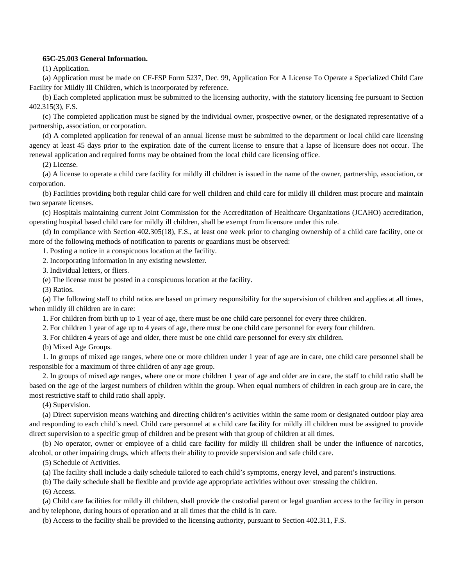## **65C-25.003 General Information.**

(1) Application.

(a) Application must be made on CF-FSP Form 5237, Dec. 99, Application For A License To Operate a Specialized Child Care Facility for Mildly Ill Children, which is incorporated by reference.

(b) Each completed application must be submitted to the licensing authority, with the statutory licensing fee pursuant to Section 402.315(3), F.S.

(c) The completed application must be signed by the individual owner, prospective owner, or the designated representative of a partnership, association, or corporation.

(d) A completed application for renewal of an annual license must be submitted to the department or local child care licensing agency at least 45 days prior to the expiration date of the current license to ensure that a lapse of licensure does not occur. The renewal application and required forms may be obtained from the local child care licensing office.

(2) License.

(a) A license to operate a child care facility for mildly ill children is issued in the name of the owner, partnership, association, or corporation.

(b) Facilities providing both regular child care for well children and child care for mildly ill children must procure and maintain two separate licenses.

(c) Hospitals maintaining current Joint Commission for the Accreditation of Healthcare Organizations (JCAHO) accreditation, operating hospital based child care for mildly ill children, shall be exempt from licensure under this rule.

(d) In compliance with Section 402.305(18), F.S., at least one week prior to changing ownership of a child care facility, one or more of the following methods of notification to parents or guardians must be observed:

1. Posting a notice in a conspicuous location at the facility.

2. Incorporating information in any existing newsletter.

3. Individual letters, or fliers.

(e) The license must be posted in a conspicuous location at the facility.

(3) Ratios.

(a) The following staff to child ratios are based on primary responsibility for the supervision of children and applies at all times, when mildly ill children are in care:

1. For children from birth up to 1 year of age, there must be one child care personnel for every three children.

2. For children 1 year of age up to 4 years of age, there must be one child care personnel for every four children.

3. For children 4 years of age and older, there must be one child care personnel for every six children.

(b) Mixed Age Groups.

1. In groups of mixed age ranges, where one or more children under 1 year of age are in care, one child care personnel shall be responsible for a maximum of three children of any age group.

2. In groups of mixed age ranges, where one or more children 1 year of age and older are in care, the staff to child ratio shall be based on the age of the largest numbers of children within the group. When equal numbers of children in each group are in care, the most restrictive staff to child ratio shall apply.

(4) Supervision.

(a) Direct supervision means watching and directing children's activities within the same room or designated outdoor play area and responding to each child's need. Child care personnel at a child care facility for mildly ill children must be assigned to provide direct supervision to a specific group of children and be present with that group of children at all times.

(b) No operator, owner or employee of a child care facility for mildly ill children shall be under the influence of narcotics, alcohol, or other impairing drugs, which affects their ability to provide supervision and safe child care.

(5) Schedule of Activities.

(a) The facility shall include a daily schedule tailored to each child's symptoms, energy level, and parent's instructions.

(b) The daily schedule shall be flexible and provide age appropriate activities without over stressing the children.

(6) Access.

(a) Child care facilities for mildly ill children, shall provide the custodial parent or legal guardian access to the facility in person and by telephone, during hours of operation and at all times that the child is in care.

(b) Access to the facility shall be provided to the licensing authority, pursuant to Section 402.311, F.S.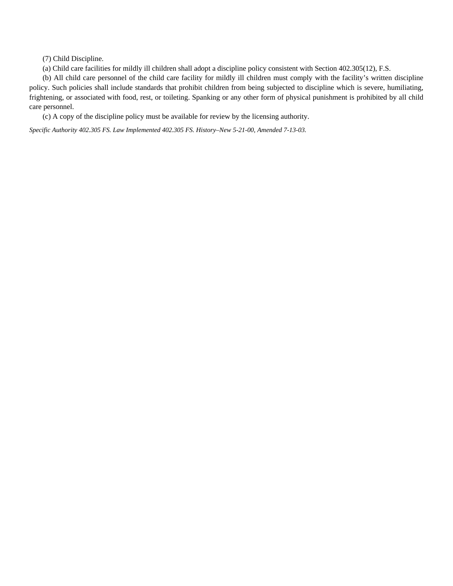(7) Child Discipline.

(a) Child care facilities for mildly ill children shall adopt a discipline policy consistent with Section 402.305(12), F.S.

(b) All child care personnel of the child care facility for mildly ill children must comply with the facility's written discipline policy. Such policies shall include standards that prohibit children from being subjected to discipline which is severe, humiliating, frightening, or associated with food, rest, or toileting. Spanking or any other form of physical punishment is prohibited by all child care personnel.

(c) A copy of the discipline policy must be available for review by the licensing authority.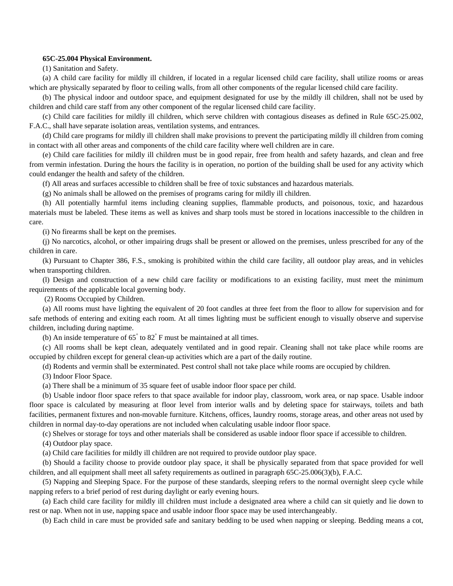#### **65C-25.004 Physical Environment.**

(1) Sanitation and Safety.

(a) A child care facility for mildly ill children, if located in a regular licensed child care facility, shall utilize rooms or areas which are physically separated by floor to ceiling walls, from all other components of the regular licensed child care facility.

(b) The physical indoor and outdoor space, and equipment designated for use by the mildly ill children, shall not be used by children and child care staff from any other component of the regular licensed child care facility.

(c) Child care facilities for mildly ill children, which serve children with contagious diseases as defined in Rule 65C-25.002, F.A.C., shall have separate isolation areas, ventilation systems, and entrances.

(d) Child care programs for mildly ill children shall make provisions to prevent the participating mildly ill children from coming in contact with all other areas and components of the child care facility where well children are in care.

(e) Child care facilities for mildly ill children must be in good repair, free from health and safety hazards, and clean and free from vermin infestation. During the hours the facility is in operation, no portion of the building shall be used for any activity which could endanger the health and safety of the children.

(f) All areas and surfaces accessible to children shall be free of toxic substances and hazardous materials.

(g) No animals shall be allowed on the premises of programs caring for mildly ill children.

(h) All potentially harmful items including cleaning supplies, flammable products, and poisonous, toxic, and hazardous materials must be labeled. These items as well as knives and sharp tools must be stored in locations inaccessible to the children in care.

(i) No firearms shall be kept on the premises.

(j) No narcotics, alcohol, or other impairing drugs shall be present or allowed on the premises, unless prescribed for any of the children in care.

(k) Pursuant to Chapter 386, F.S., smoking is prohibited within the child care facility, all outdoor play areas, and in vehicles when transporting children.

(l) Design and construction of a new child care facility or modifications to an existing facility, must meet the minimum requirements of the applicable local governing body.

(2) Rooms Occupied by Children.

(a) All rooms must have lighting the equivalent of 20 foot candles at three feet from the floor to allow for supervision and for safe methods of entering and exiting each room. At all times lighting must be sufficient enough to visually observe and supervise children, including during naptime.

(b) An inside temperature of  $65^\circ$  to  $82^\circ$  F must be maintained at all times.

(c) All rooms shall be kept clean, adequately ventilated and in good repair. Cleaning shall not take place while rooms are occupied by children except for general clean-up activities which are a part of the daily routine.

(d) Rodents and vermin shall be exterminated. Pest control shall not take place while rooms are occupied by children.

(3) Indoor Floor Space.

(a) There shall be a minimum of 35 square feet of usable indoor floor space per child.

(b) Usable indoor floor space refers to that space available for indoor play, classroom, work area, or nap space. Usable indoor floor space is calculated by measuring at floor level from interior walls and by deleting space for stairways, toilets and bath facilities, permanent fixtures and non-movable furniture. Kitchens, offices, laundry rooms, storage areas, and other areas not used by children in normal day-to-day operations are not included when calculating usable indoor floor space.

(c) Shelves or storage for toys and other materials shall be considered as usable indoor floor space if accessible to children.

(4) Outdoor play space.

(a) Child care facilities for mildly ill children are not required to provide outdoor play space.

(b) Should a facility choose to provide outdoor play space, it shall be physically separated from that space provided for well children, and all equipment shall meet all safety requirements as outlined in paragraph 65C-25.006(3)(b), F.A.C.

(5) Napping and Sleeping Space. For the purpose of these standards, sleeping refers to the normal overnight sleep cycle while napping refers to a brief period of rest during daylight or early evening hours.

(a) Each child care facility for mildly ill children must include a designated area where a child can sit quietly and lie down to rest or nap. When not in use, napping space and usable indoor floor space may be used interchangeably.

(b) Each child in care must be provided safe and sanitary bedding to be used when napping or sleeping. Bedding means a cot,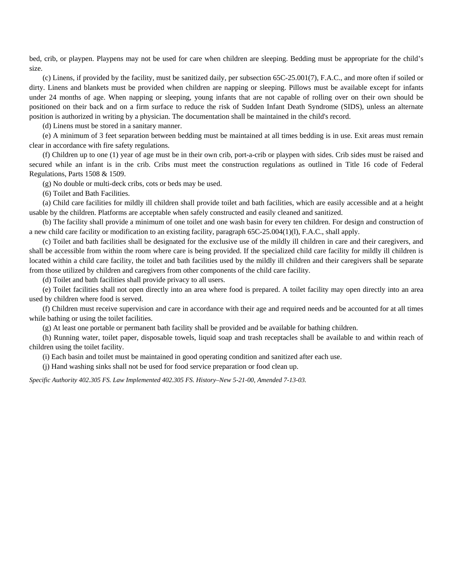bed, crib, or playpen. Playpens may not be used for care when children are sleeping. Bedding must be appropriate for the child's size.

(c) Linens, if provided by the facility, must be sanitized daily, per subsection 65C-25.001(7), F.A.C., and more often if soiled or dirty. Linens and blankets must be provided when children are napping or sleeping. Pillows must be available except for infants under 24 months of age. When napping or sleeping, young infants that are not capable of rolling over on their own should be positioned on their back and on a firm surface to reduce the risk of Sudden Infant Death Syndrome (SIDS), unless an alternate position is authorized in writing by a physician. The documentation shall be maintained in the child's record.

(d) Linens must be stored in a sanitary manner.

(e) A minimum of 3 feet separation between bedding must be maintained at all times bedding is in use. Exit areas must remain clear in accordance with fire safety regulations.

(f) Children up to one (1) year of age must be in their own crib, port-a-crib or playpen with sides. Crib sides must be raised and secured while an infant is in the crib. Cribs must meet the construction regulations as outlined in Title 16 code of Federal Regulations, Parts 1508 & 1509.

(g) No double or multi-deck cribs, cots or beds may be used.

(6) Toilet and Bath Facilities.

(a) Child care facilities for mildly ill children shall provide toilet and bath facilities, which are easily accessible and at a height usable by the children. Platforms are acceptable when safely constructed and easily cleaned and sanitized.

(b) The facility shall provide a minimum of one toilet and one wash basin for every ten children. For design and construction of a new child care facility or modification to an existing facility, paragraph 65C-25.004(1)(l), F.A.C., shall apply.

(c) Toilet and bath facilities shall be designated for the exclusive use of the mildly ill children in care and their caregivers, and shall be accessible from within the room where care is being provided. If the specialized child care facility for mildly ill children is located within a child care facility, the toilet and bath facilities used by the mildly ill children and their caregivers shall be separate from those utilized by children and caregivers from other components of the child care facility.

(d) Toilet and bath facilities shall provide privacy to all users.

(e) Toilet facilities shall not open directly into an area where food is prepared. A toilet facility may open directly into an area used by children where food is served.

(f) Children must receive supervision and care in accordance with their age and required needs and be accounted for at all times while bathing or using the toilet facilities.

(g) At least one portable or permanent bath facility shall be provided and be available for bathing children.

(h) Running water, toilet paper, disposable towels, liquid soap and trash receptacles shall be available to and within reach of children using the toilet facility.

(i) Each basin and toilet must be maintained in good operating condition and sanitized after each use.

(j) Hand washing sinks shall not be used for food service preparation or food clean up.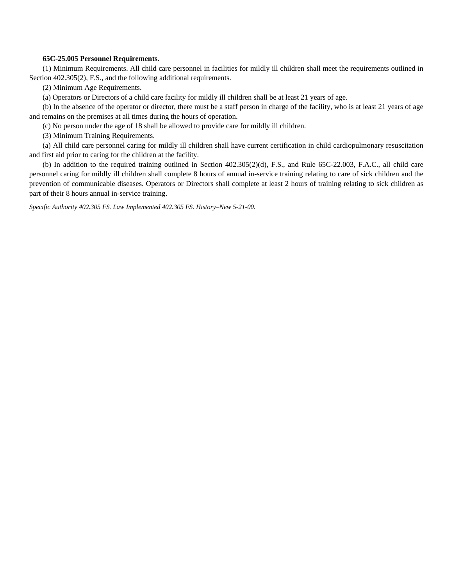# **65C-25.005 Personnel Requirements.**

(1) Minimum Requirements. All child care personnel in facilities for mildly ill children shall meet the requirements outlined in Section 402.305(2), F.S., and the following additional requirements.

(2) Minimum Age Requirements.

(a) Operators or Directors of a child care facility for mildly ill children shall be at least 21 years of age.

(b) In the absence of the operator or director, there must be a staff person in charge of the facility, who is at least 21 years of age and remains on the premises at all times during the hours of operation.

(c) No person under the age of 18 shall be allowed to provide care for mildly ill children.

(3) Minimum Training Requirements.

(a) All child care personnel caring for mildly ill children shall have current certification in child cardiopulmonary resuscitation and first aid prior to caring for the children at the facility.

(b) In addition to the required training outlined in Section 402.305(2)(d), F.S., and Rule 65C-22.003, F.A.C., all child care personnel caring for mildly ill children shall complete 8 hours of annual in-service training relating to care of sick children and the prevention of communicable diseases. Operators or Directors shall complete at least 2 hours of training relating to sick children as part of their 8 hours annual in-service training.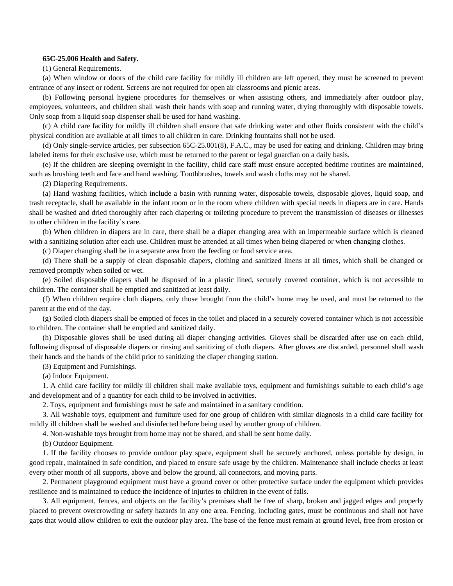### **65C-25.006 Health and Safety.**

(1) General Requirements.

(a) When window or doors of the child care facility for mildly ill children are left opened, they must be screened to prevent entrance of any insect or rodent. Screens are not required for open air classrooms and picnic areas.

(b) Following personal hygiene procedures for themselves or when assisting others, and immediately after outdoor play, employees, volunteers, and children shall wash their hands with soap and running water, drying thoroughly with disposable towels. Only soap from a liquid soap dispenser shall be used for hand washing.

(c) A child care facility for mildly ill children shall ensure that safe drinking water and other fluids consistent with the child's physical condition are available at all times to all children in care. Drinking fountains shall not be used.

(d) Only single-service articles, per subsection 65C-25.001(8), F.A.C., may be used for eating and drinking. Children may bring labeled items for their exclusive use, which must be returned to the parent or legal guardian on a daily basis.

(e) If the children are sleeping overnight in the facility, child care staff must ensure accepted bedtime routines are maintained, such as brushing teeth and face and hand washing. Toothbrushes, towels and wash cloths may not be shared.

(2) Diapering Requirements.

(a) Hand washing facilities, which include a basin with running water, disposable towels, disposable gloves, liquid soap, and trash receptacle, shall be available in the infant room or in the room where children with special needs in diapers are in care. Hands shall be washed and dried thoroughly after each diapering or toileting procedure to prevent the transmission of diseases or illnesses to other children in the facility's care.

(b) When children in diapers are in care, there shall be a diaper changing area with an impermeable surface which is cleaned with a sanitizing solution after each use. Children must be attended at all times when being diapered or when changing clothes.

(c) Diaper changing shall be in a separate area from the feeding or food service area.

(d) There shall be a supply of clean disposable diapers, clothing and sanitized linens at all times, which shall be changed or removed promptly when soiled or wet.

(e) Soiled disposable diapers shall be disposed of in a plastic lined, securely covered container, which is not accessible to children. The container shall be emptied and sanitized at least daily.

(f) When children require cloth diapers, only those brought from the child's home may be used, and must be returned to the parent at the end of the day.

(g) Soiled cloth diapers shall be emptied of feces in the toilet and placed in a securely covered container which is not accessible to children. The container shall be emptied and sanitized daily.

(h) Disposable gloves shall be used during all diaper changing activities. Gloves shall be discarded after use on each child, following disposal of disposable diapers or rinsing and sanitizing of cloth diapers. After gloves are discarded, personnel shall wash their hands and the hands of the child prior to sanitizing the diaper changing station.

(3) Equipment and Furnishings.

(a) Indoor Equipment.

1. A child care facility for mildly ill children shall make available toys, equipment and furnishings suitable to each child's age and development and of a quantity for each child to be involved in activities.

2. Toys, equipment and furnishings must be safe and maintained in a sanitary condition.

3. All washable toys, equipment and furniture used for one group of children with similar diagnosis in a child care facility for mildly ill children shall be washed and disinfected before being used by another group of children.

4. Non-washable toys brought from home may not be shared, and shall be sent home daily.

(b) Outdoor Equipment.

1. If the facility chooses to provide outdoor play space, equipment shall be securely anchored, unless portable by design, in good repair, maintained in safe condition, and placed to ensure safe usage by the children. Maintenance shall include checks at least every other month of all supports, above and below the ground, all connectors, and moving parts.

2. Permanent playground equipment must have a ground cover or other protective surface under the equipment which provides resilience and is maintained to reduce the incidence of injuries to children in the event of falls.

3. All equipment, fences, and objects on the facility's premises shall be free of sharp, broken and jagged edges and properly placed to prevent overcrowding or safety hazards in any one area. Fencing, including gates, must be continuous and shall not have gaps that would allow children to exit the outdoor play area. The base of the fence must remain at ground level, free from erosion or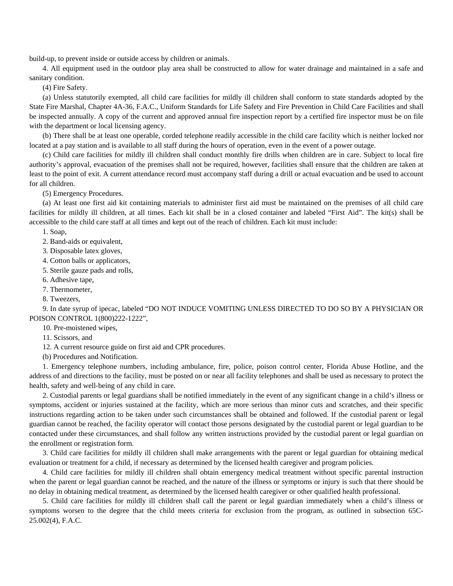build-up, to prevent inside or outside access by children or animals.

4. All equipment used in the outdoor play area shall be constructed to allow for water drainage and maintained in a safe and sanitary condition.

(4) Fire Safety.

(a) Unless statutorily exempted, all child care facilities for mildly ill children shall conform to state standards adopted by the State Fire Marshal, Chapter 4A-36, F.A.C., Uniform Standards for Life Safety and Fire Prevention in Child Care Facilities and shall be inspected annually. A copy of the current and approved annual fire inspection report by a certified fire inspector must be on file with the department or local licensing agency.

(b) There shall be at least one operable, corded telephone readily accessible in the child care facility which is neither locked nor located at a pay station and is available to all staff during the hours of operation, even in the event of a power outage.

(c) Child care facilities for mildly ill children shall conduct monthly fire drills when children are in care. Subject to local fire authority's approval, evacuation of the premises shall not be required, however, facilities shall ensure that the children are taken at least to the point of exit. A current attendance record must accompany staff during a drill or actual evacuation and be used to account for all children.

(5) Emergency Procedures.

(a) At least one first aid kit containing materials to administer first aid must be maintained on the premises of all child care facilities for mildly ill children, at all times. Each kit shall be in a closed container and labeled "First Aid". The kit(s) shall be accessible to the child care staff at all times and kept out of the reach of children. Each kit must include:

1. Soap,

2. Band-aids or equivalent,

3. Disposable latex gloves,

4. Cotton balls or applicators,

- 5. Sterile gauze pads and rolls,
- 6. Adhesive tape,
- 7. Thermometer,
- 8. Tweezers,

9. In date syrup of ipecac, labeled "DO NOT INDUCE VOMITING UNLESS DIRECTED TO DO SO BY A PHYSICIAN OR POISON CONTROL 1(800)222-1222",

10. Pre-moistened wipes,

11. Scissors, and

12. A current resource guide on first aid and CPR procedures.

(b) Procedures and Notification.

1. Emergency telephone numbers, including ambulance, fire, police, poison control center, Florida Abuse Hotline, and the address of and directions to the facility, must be posted on or near all facility telephones and shall be used as necessary to protect the health, safety and well-being of any child in care.

2. Custodial parents or legal guardians shall be notified immediately in the event of any significant change in a child's illness or symptoms, accident or injuries sustained at the facility, which are more serious than minor cuts and scratches, and their specific instructions regarding action to be taken under such circumstances shall be obtained and followed. If the custodial parent or legal guardian cannot be reached, the facility operator will contact those persons designated by the custodial parent or legal guardian to be contacted under these circumstances, and shall follow any written instructions provided by the custodial parent or legal guardian on the enrollment or registration form.

3. Child care facilities for mildly ill children shall make arrangements with the parent or legal guardian for obtaining medical evaluation or treatment for a child, if necessary as determined by the licensed health caregiver and program policies.

4. Child care facilities for mildly ill children shall obtain emergency medical treatment without specific parental instruction when the parent or legal guardian cannot be reached, and the nature of the illness or symptoms or injury is such that there should be no delay in obtaining medical treatment, as determined by the licensed health caregiver or other qualified health professional.

5. Child care facilities for mildly ill children shall call the parent or legal guardian immediately when a child's illness or symptoms worsen to the degree that the child meets criteria for exclusion from the program, as outlined in subsection 65C-25.002(4), F.A.C.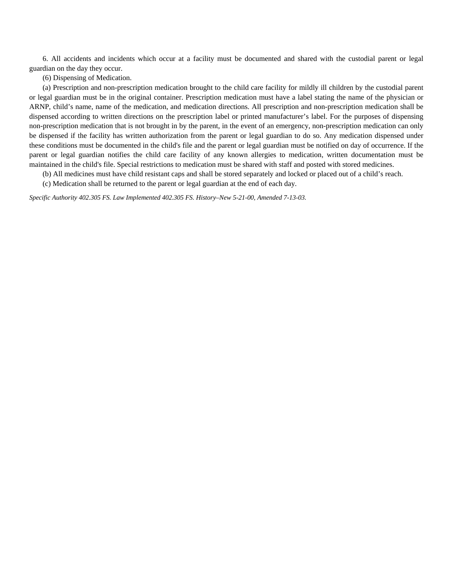6. All accidents and incidents which occur at a facility must be documented and shared with the custodial parent or legal guardian on the day they occur.

(6) Dispensing of Medication.

(a) Prescription and non-prescription medication brought to the child care facility for mildly ill children by the custodial parent or legal guardian must be in the original container. Prescription medication must have a label stating the name of the physician or ARNP, child's name, name of the medication, and medication directions. All prescription and non-prescription medication shall be dispensed according to written directions on the prescription label or printed manufacturer's label. For the purposes of dispensing non-prescription medication that is not brought in by the parent, in the event of an emergency, non-prescription medication can only be dispensed if the facility has written authorization from the parent or legal guardian to do so. Any medication dispensed under these conditions must be documented in the child's file and the parent or legal guardian must be notified on day of occurrence. If the parent or legal guardian notifies the child care facility of any known allergies to medication, written documentation must be maintained in the child's file. Special restrictions to medication must be shared with staff and posted with stored medicines.

(b) All medicines must have child resistant caps and shall be stored separately and locked or placed out of a child's reach.

(c) Medication shall be returned to the parent or legal guardian at the end of each day.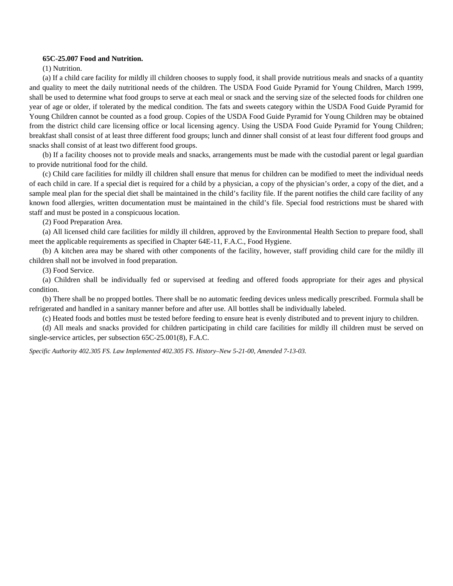### **65C-25.007 Food and Nutrition.**

(1) Nutrition.

(a) If a child care facility for mildly ill children chooses to supply food, it shall provide nutritious meals and snacks of a quantity and quality to meet the daily nutritional needs of the children. The USDA Food Guide Pyramid for Young Children, March 1999, shall be used to determine what food groups to serve at each meal or snack and the serving size of the selected foods for children one year of age or older, if tolerated by the medical condition. The fats and sweets category within the USDA Food Guide Pyramid for Young Children cannot be counted as a food group. Copies of the USDA Food Guide Pyramid for Young Children may be obtained from the district child care licensing office or local licensing agency. Using the USDA Food Guide Pyramid for Young Children; breakfast shall consist of at least three different food groups; lunch and dinner shall consist of at least four different food groups and snacks shall consist of at least two different food groups.

(b) If a facility chooses not to provide meals and snacks, arrangements must be made with the custodial parent or legal guardian to provide nutritional food for the child.

(c) Child care facilities for mildly ill children shall ensure that menus for children can be modified to meet the individual needs of each child in care. If a special diet is required for a child by a physician, a copy of the physician's order, a copy of the diet, and a sample meal plan for the special diet shall be maintained in the child's facility file. If the parent notifies the child care facility of any known food allergies, written documentation must be maintained in the child's file. Special food restrictions must be shared with staff and must be posted in a conspicuous location.

(2) Food Preparation Area.

(a) All licensed child care facilities for mildly ill children, approved by the Environmental Health Section to prepare food, shall meet the applicable requirements as specified in Chapter 64E-11, F.A.C., Food Hygiene.

(b) A kitchen area may be shared with other components of the facility, however, staff providing child care for the mildly ill children shall not be involved in food preparation.

(3) Food Service.

(a) Children shall be individually fed or supervised at feeding and offered foods appropriate for their ages and physical condition.

(b) There shall be no propped bottles. There shall be no automatic feeding devices unless medically prescribed. Formula shall be refrigerated and handled in a sanitary manner before and after use. All bottles shall be individually labeled.

(c) Heated foods and bottles must be tested before feeding to ensure heat is evenly distributed and to prevent injury to children.

(d) All meals and snacks provided for children participating in child care facilities for mildly ill children must be served on single-service articles, per subsection 65C-25.001(8), F.A.C.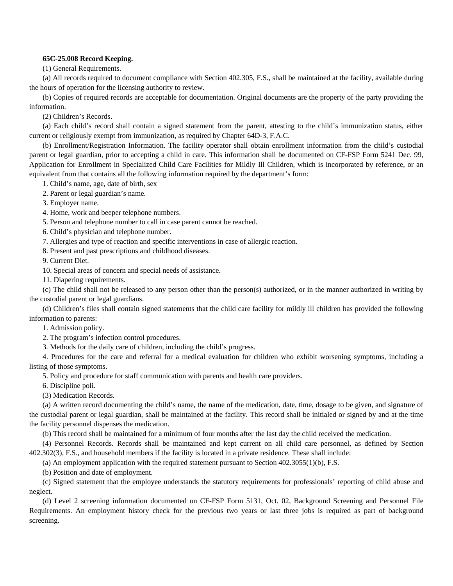# **65C-25.008 Record Keeping.**

(1) General Requirements.

(a) All records required to document compliance with Section 402.305, F.S., shall be maintained at the facility, available during the hours of operation for the licensing authority to review.

(b) Copies of required records are acceptable for documentation. Original documents are the property of the party providing the information.

(2) Children's Records.

(a) Each child's record shall contain a signed statement from the parent, attesting to the child's immunization status, either current or religiously exempt from immunization, as required by Chapter 64D-3, F.A.C.

(b) Enrollment/Registration Information. The facility operator shall obtain enrollment information from the child's custodial parent or legal guardian, prior to accepting a child in care. This information shall be documented on CF-FSP Form 5241 Dec. 99, Application for Enrollment in Specialized Child Care Facilities for Mildly Ill Children, which is incorporated by reference, or an equivalent from that contains all the following information required by the department's form:

1. Child's name, age, date of birth, sex

2. Parent or legal guardian's name.

3. Employer name.

4. Home, work and beeper telephone numbers.

5. Person and telephone number to call in case parent cannot be reached.

6. Child's physician and telephone number.

7. Allergies and type of reaction and specific interventions in case of allergic reaction.

8. Present and past prescriptions and childhood diseases.

9. Current Diet.

10. Special areas of concern and special needs of assistance.

11. Diapering requirements.

(c) The child shall not be released to any person other than the person(s) authorized, or in the manner authorized in writing by the custodial parent or legal guardians.

(d) Children's files shall contain signed statements that the child care facility for mildly ill children has provided the following information to parents:

1. Admission policy.

2. The program's infection control procedures.

3. Methods for the daily care of children, including the child's progress.

4. Procedures for the care and referral for a medical evaluation for children who exhibit worsening symptoms, including a listing of those symptoms.

5. Policy and procedure for staff communication with parents and health care providers.

6. Discipline poli.

(3) Medication Records.

(a) A written record documenting the child's name, the name of the medication, date, time, dosage to be given, and signature of the custodial parent or legal guardian, shall be maintained at the facility. This record shall be initialed or signed by and at the time the facility personnel dispenses the medication.

(b) This record shall be maintained for a minimum of four months after the last day the child received the medication.

(4) Personnel Records. Records shall be maintained and kept current on all child care personnel, as defined by Section 402.302(3), F.S., and household members if the facility is located in a private residence. These shall include:

(a) An employment application with the required statement pursuant to Section 402.3055(1)(b), F.S.

(b) Position and date of employment.

(c) Signed statement that the employee understands the statutory requirements for professionals' reporting of child abuse and neglect.

(d) Level 2 screening information documented on CF-FSP Form 5131, Oct. 02, Background Screening and Personnel File Requirements. An employment history check for the previous two years or last three jobs is required as part of background screening.